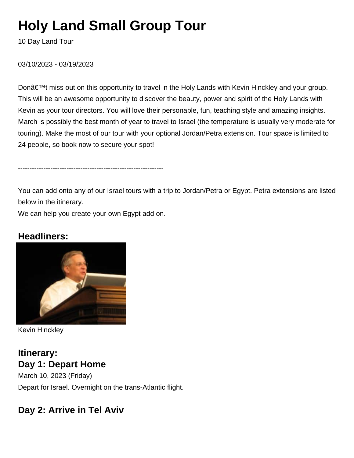# **Holy Land Small Group Tour**

10 Day Land Tour

03/10/2023 - 03/19/2023

Don't miss out on this opportunity to travel in the Holy Lands with Kevin Hinckley and your group. This will be an awesome opportunity to discover the beauty, power and spirit of the Holy Lands with Kevin as your tour directors. You will love their personable, fun, teaching style and amazing insights. March is possibly the best month of year to travel to Israel (the temperature is usually very moderate for touring). Make the most of our tour with your optional Jordan/Petra extension. Tour space is limited to 24 people, so book now to secure your spot!

---------------------------------------------------------------

You can add onto any of our Israel tours with a trip to Jordan/Petra or Egypt. Petra extensions are listed below in the itinerary.

We can help you create your own Egypt add on.

### **Headliners:**



Kevin Hinckley

### **Itinerary: Day 1: Depart Home**

March 10, 2023 (Friday) Depart for Israel. Overnight on the trans-Atlantic flight.

### **Day 2: Arrive in Tel Aviv**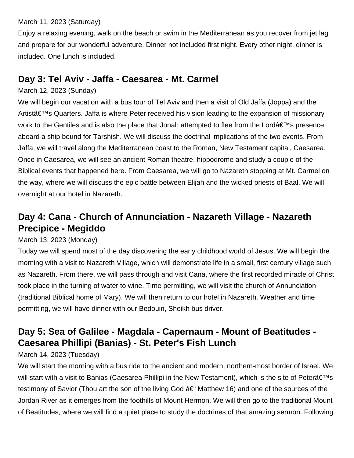#### March 11, 2023 (Saturday)

Enjoy a relaxing evening, walk on the beach or swim in the Mediterranean as you recover from jet lag and prepare for our wonderful adventure. Dinner not included first night. Every other night, dinner is included. One lunch is included.

### **Day 3: Tel Aviv - Jaffa - Caesarea - Mt. Carmel**

#### March 12, 2023 (Sunday)

We will begin our vacation with a bus tour of Tel Aviv and then a visit of Old Jaffa (Joppa) and the Artist's Quarters. Jaffa is where Peter received his vision leading to the expansion of missionary work to the Gentiles and is also the place that Jonah attempted to flee from the Lordâ $\in \mathbb{N}$ s presence aboard a ship bound for Tarshish. We will discuss the doctrinal implications of the two events. From Jaffa, we will travel along the Mediterranean coast to the Roman, New Testament capital, Caesarea. Once in Caesarea, we will see an ancient Roman theatre, hippodrome and study a couple of the Biblical events that happened here. From Caesarea, we will go to Nazareth stopping at Mt. Carmel on the way, where we will discuss the epic battle between Elijah and the wicked priests of Baal. We will overnight at our hotel in Nazareth.

# **Day 4: Cana - Church of Annunciation - Nazareth Village - Nazareth Precipice - Megiddo**

#### March 13, 2023 (Monday)

Today we will spend most of the day discovering the early childhood world of Jesus. We will begin the morning with a visit to Nazareth Village, which will demonstrate life in a small, first century village such as Nazareth. From there, we will pass through and visit Cana, where the first recorded miracle of Christ took place in the turning of water to wine. Time permitting, we will visit the church of Annunciation (traditional Biblical home of Mary). We will then return to our hotel in Nazareth. Weather and time permitting, we will have dinner with our Bedouin, Sheikh bus driver.

## **Day 5: Sea of Galilee - Magdala - Capernaum - Mount of Beatitudes - Caesarea Phillipi (Banias) - St. Peter's Fish Lunch**

#### March 14, 2023 (Tuesday)

We will start the morning with a bus ride to the ancient and modern, northern-most border of Israel. We will start with a visit to Banias (Caesarea Phillipi in the New Testament), which is the site of Peter $\hat{\mathbf{a}} \in \mathbb{N}$ s testimony of Savior (Thou art the son of the living God  $\hat{a} \in \mathcal{A}$  Matthew 16) and one of the sources of the Jordan River as it emerges from the foothills of Mount Hermon. We will then go to the traditional Mount of Beatitudes, where we will find a quiet place to study the doctrines of that amazing sermon. Following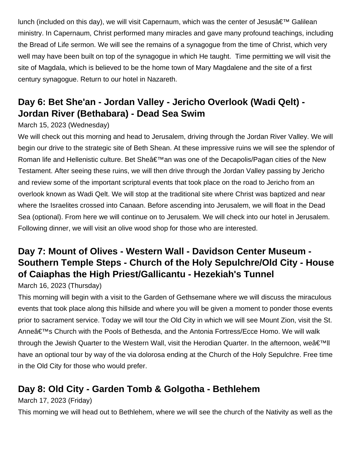lunch (included on this day), we will visit Capernaum, which was the center of Jesus $\hat{\mathbf{a}} \in \mathbb{N}^N$  Galilean ministry. In Capernaum, Christ performed many miracles and gave many profound teachings, including the Bread of Life sermon. We will see the remains of a synagogue from the time of Christ, which very well may have been built on top of the synagogue in which He taught. Time permitting we will visit the site of Magdala, which is believed to be the home town of Mary Magdalene and the site of a first century synagogue. Return to our hotel in Nazareth.

# **Day 6: Bet She'an - Jordan Valley - Jericho Overlook (Wadi Qelt) - Jordan River (Bethabara) - Dead Sea Swim**

### March 15, 2023 (Wednesday)

We will check out this morning and head to Jerusalem, driving through the Jordan River Valley. We will begin our drive to the strategic site of Beth Shean. At these impressive ruins we will see the splendor of Roman life and Hellenistic culture. Bet She'an was one of the Decapolis/Pagan cities of the New Testament. After seeing these ruins, we will then drive through the Jordan Valley passing by Jericho and review some of the important scriptural events that took place on the road to Jericho from an overlook known as Wadi Qelt. We will stop at the traditional site where Christ was baptized and near where the Israelites crossed into Canaan. Before ascending into Jerusalem, we will float in the Dead Sea (optional). From here we will continue on to Jerusalem. We will check into our hotel in Jerusalem. Following dinner, we will visit an olive wood shop for those who are interested.

# **Day 7: Mount of Olives - Western Wall - Davidson Center Museum - Southern Temple Steps - Church of the Holy Sepulchre/Old City - House of Caiaphas the High Priest/Gallicantu - Hezekiah's Tunnel**

March 16, 2023 (Thursday)

This morning will begin with a visit to the Garden of Gethsemane where we will discuss the miraculous events that took place along this hillside and where you will be given a moment to ponder those events prior to sacrament service. Today we will tour the Old City in which we will see Mount Zion, visit the St. Anne's Church with the Pools of Bethesda, and the Antonia Fortress/Ecce Homo. We will walk through the Jewish Quarter to the Western Wall, visit the Herodian Quarter. In the afternoon, we $\hat{\mathbf{a}} \in \mathbb{N}$ ll have an optional tour by way of the via dolorosa ending at the Church of the Holy Sepulchre. Free time in the Old City for those who would prefer.

# **Day 8: Old City - Garden Tomb & Golgotha - Bethlehem**

March 17, 2023 (Friday)

This morning we will head out to Bethlehem, where we will see the church of the Nativity as well as the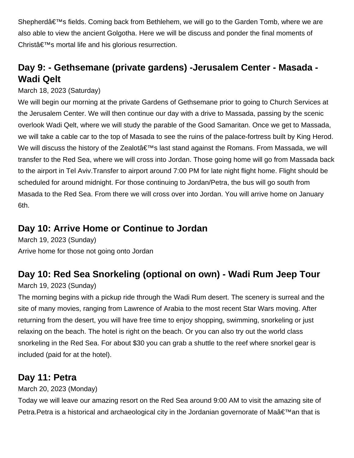Shepherd $\hat{\mathbf{a}} \in \mathbb{M}$ s fields. Coming back from Bethlehem, we will go to the Garden Tomb, where we are also able to view the ancient Golgotha. Here we will be discuss and ponder the final moments of Christ $a \in \mathbb{N}$ s mortal life and his glorious resurrection.

# **Day 9: - Gethsemane (private gardens) -Jerusalem Center - Masada - Wadi Qelt**

### March 18, 2023 (Saturday)

We will begin our morning at the private Gardens of Gethsemane prior to going to Church Services at the Jerusalem Center. We will then continue our day with a drive to Massada, passing by the scenic overlook Wadi Qelt, where we will study the parable of the Good Samaritan. Once we get to Massada, we will take a cable car to the top of Masada to see the ruins of the palace-fortress built by King Herod. We will discuss the history of the Zealot $\hat{\mathbf{a}} \in \mathbb{M}$ s last stand against the Romans. From Massada, we will transfer to the Red Sea, where we will cross into Jordan. Those going home will go from Massada back to the airport in Tel Aviv.Transfer to airport around 7:00 PM for late night flight home. Flight should be scheduled for around midnight. For those continuing to Jordan/Petra, the bus will go south from Masada to the Red Sea. From there we will cross over into Jordan. You will arrive home on January 6th.

### **Day 10: Arrive Home or Continue to Jordan**

March 19, 2023 (Sunday) Arrive home for those not going onto Jordan

# **Day 10: Red Sea Snorkeling (optional on own) - Wadi Rum Jeep Tour**

### March 19, 2023 (Sunday)

The morning begins with a pickup ride through the Wadi Rum desert. The scenery is surreal and the site of many movies, ranging from Lawrence of Arabia to the most recent Star Wars moving. After returning from the desert, you will have free time to enjoy shopping, swimming, snorkeling or just relaxing on the beach. The hotel is right on the beach. Or you can also try out the world class snorkeling in the Red Sea. For about \$30 you can grab a shuttle to the reef where snorkel gear is included (paid for at the hotel).

### **Day 11: Petra**

March 20, 2023 (Monday)

Today we will leave our amazing resort on the Red Sea around 9:00 AM to visit the amazing site of Petra. Petra is a historical and archaeological city in the Jordanian governorate of Ma $\hat{a} \in \mathbb{N}$ an that is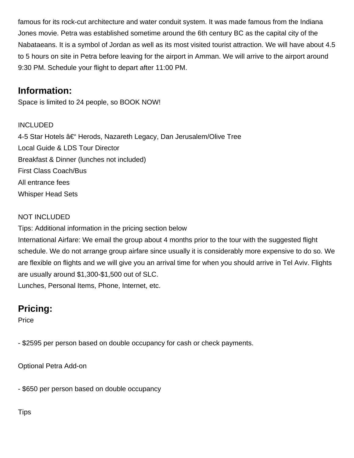famous for its rock-cut architecture and water conduit system. It was made famous from the Indiana Jones movie. Petra was established sometime around the 6th century BC as the capital city of the Nabataeans. It is a symbol of Jordan as well as its most visited tourist attraction. We will have about 4.5 to 5 hours on site in Petra before leaving for the airport in Amman. We will arrive to the airport around 9:30 PM. Schedule your flight to depart after 11:00 PM.

### **Information:**

Space is limited to 24 people, so BOOK NOW!

### INCLUDED

4-5 Star Hotels †Herods, Nazareth Legacy, Dan Jerusalem/Olive Tree Local Guide & LDS Tour Director Breakfast & Dinner (lunches not included) First Class Coach/Bus All entrance fees Whisper Head Sets

### NOT INCLUDED

Tips: Additional information in the pricing section below

International Airfare: We email the group about 4 months prior to the tour with the suggested flight schedule. We do not arrange group airfare since usually it is considerably more expensive to do so. We are flexible on flights and we will give you an arrival time for when you should arrive in Tel Aviv. Flights are usually around \$1,300-\$1,500 out of SLC.

Lunches, Personal Items, Phone, Internet, etc.

# **Pricing:**

Price

- \$2595 per person based on double occupancy for cash or check payments.

Optional Petra Add-on

- \$650 per person based on double occupancy

**Tips**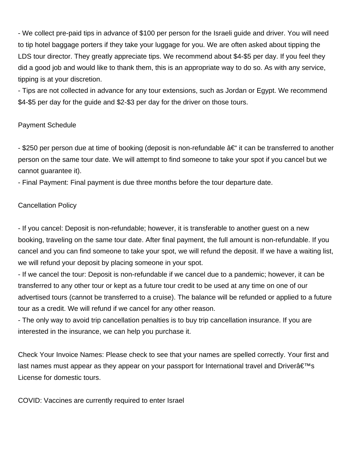- We collect pre-paid tips in advance of \$100 per person for the Israeli guide and driver. You will need to tip hotel baggage porters if they take your luggage for you. We are often asked about tipping the LDS tour director. They greatly appreciate tips. We recommend about \$4-\$5 per day. If you feel they did a good job and would like to thank them, this is an appropriate way to do so. As with any service, tipping is at your discretion.

- Tips are not collected in advance for any tour extensions, such as Jordan or Egypt. We recommend \$4-\$5 per day for the guide and \$2-\$3 per day for the driver on those tours.

#### Payment Schedule

- \$250 per person due at time of booking (deposit is non-refundable  $\hat{a} \in \hat{a}$  it can be transferred to another person on the same tour date. We will attempt to find someone to take your spot if you cancel but we cannot guarantee it).

- Final Payment: Final payment is due three months before the tour departure date.

#### Cancellation Policy

- If you cancel: Deposit is non-refundable; however, it is transferable to another guest on a new booking, traveling on the same tour date. After final payment, the full amount is non-refundable. If you cancel and you can find someone to take your spot, we will refund the deposit. If we have a waiting list, we will refund your deposit by placing someone in your spot.

- If we cancel the tour: Deposit is non-refundable if we cancel due to a pandemic; however, it can be transferred to any other tour or kept as a future tour credit to be used at any time on one of our advertised tours (cannot be transferred to a cruise). The balance will be refunded or applied to a future tour as a credit. We will refund if we cancel for any other reason.

- The only way to avoid trip cancellation penalties is to buy trip cancellation insurance. If you are interested in the insurance, we can help you purchase it.

Check Your Invoice Names: Please check to see that your names are spelled correctly. Your first and last names must appear as they appear on your passport for International travel and Driver $\hat{\mathbf{a}} \in \mathbb{N}$ s License for domestic tours.

COVID: Vaccines are currently required to enter Israel